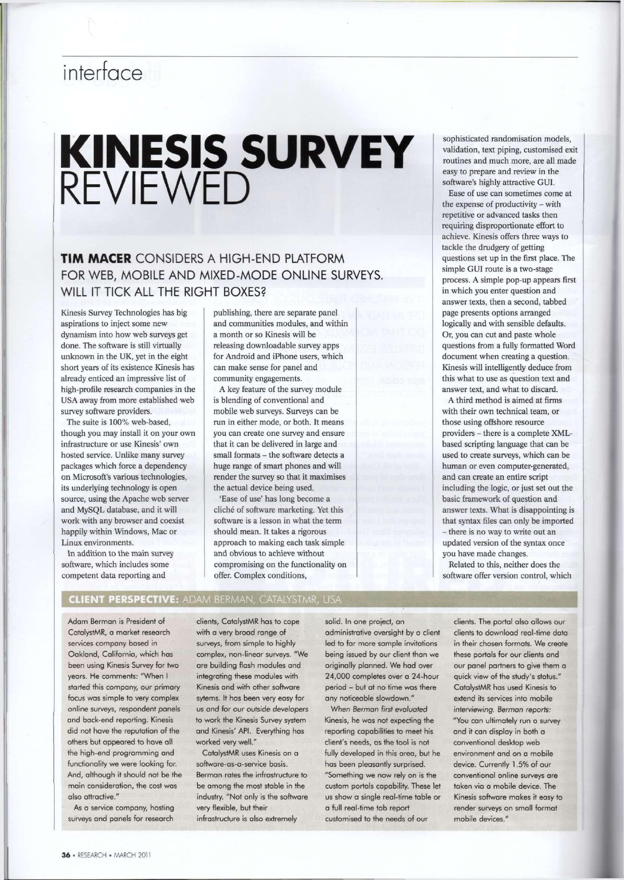## interface

# KINESIS SURVEY REVIEWED

### TIM MACER CONSIDERS A HIGH-END PLATFORM FOR WEB, MOBILE AND MIXED-MODE ONLINE SURVEYS. WILL IT TICK ALL THE RIGHT BOXES?

Kinesis Survey Technologies has big aspirations to inject some new dynamism into how web surveys get done. The software is still virtually unknown in the UK, yet in the eight short years of its existence Kinesis has already enticed an impressive list of high-profile research companies in the USA away from more established web survey software providers.

The suite is 100% web-based, though you may install it on your own infrastructure or use Kinesis' own hosted service. Unlike many survey packages which force a dependency on Microsoft's various technologies, its underlying technology is open source, using the Apache web server and MySQL database, and it will work with any browser and coexist happily within Windows, Mac or Linux environments.

In addition to the main survey software, which includes some competent data reporting and

publishing, there are separate panel and communities modules, and within a month or so Kinesis will be releasing downloadable survey apps for Android and iPhone users, which can make sense for panel and community engagements.

A key feature of the survey module is blending of conventional and mobile web surveys. Surveys can be run in either mode, or both. It means you can create one survey and ensure that it can be delivered in large and small formats - the software detects a huge range of smart phones and will render the survey so that it maximises the actual device being used.

'Ease of use' has long become a cliche of software marketing. Yet this software is a lesson in what the term should mean. It takes a rigorous approach to making each task simple and obvious to achieve without compromising on the functionality on offer. Complex conditions,

sophisticated randomisation models, validation, text piping, customised exit routines and much more, are all made easy to prepare and review in the software's highly attractive GUI.

Ease of use can sometimes come at the expense of productivity - with repetitive or advanced tasks then requiring disproportionate effort to achieve. Kinesis offers three ways to tackle the drudgery of getting questions set up in the first place. The simple GUI route is a two-stage process. A simple pop-up appears first in which you enter question and answer texts, then a second, tabbed page presents options arranged logically and with sensible defaults. Or, you can cut and paste whole questions from a fully formatted Word document when creating a question. Kinesis will intelligently deduce from this what to use as question text and answer text, and what to discard.

A third method is aimed at firms with their own technical team, or those using offshore resource providers - there is a complete XMLbased scripting language that can be used to create surveys, which can be human or even computer-generated, and can create an entire script including the logic, or just set out the basic framework of question and answer texts. What is disappointing is that syntax files can only be imported - there is no way to write out an updated version of the syntax once you have made changes.

Related to this, neither does the software offer version control, which

#### **CLIENT PERSPECTIVE: ADAM BERMAN, CATALYSTMR, USA**

Adam Berman is President of CatalystMR, a market research services company based in Oakland, California, which has been using Kinesis Survey for two years. He comments: "When I started this company, our primary focus was simple to very complex online surveys, respondent panels and back-end reporting. Kinesis did not have the reputation of the others but appeared to have all the high-end programming and functionality we were looking for. And, although it should not be the main consideration, the cost was also attractive."

As a service company, hosting surveys and panels for research

clients, CatalystMR has to cope with a very broad range of surveys, from simple to highly complex, non-linear surveys. "We are building flash modules and integrating these modules with Kinesis and with other software sytems. It has been very easy for us and for our outside developers to work the Kinesis Survey system and Kinesis' API. Everything has worked very well."

CatalystMR uses Kinesis on a software-as-a-service basis. Berman rates the infrastructure to be among the most stable in the industry. "Not only is the software very flexible, but their infrastructure is also extremely

solid. In one project, an administrative oversight by a client led to far more sample invitations being issued by our client than we originally planned. We had over 24,000 completes over a 24-hour period - but at no time was there any noticeable slowdown."

When *Berman first evaluated*  Kinesis, he was not expecting the reporting capabilities to meet his client's needs, as the tool is not fully developed in this area, but he has been pleasantly surprised. "Something we now rely on is the custom portals capability. These let us show a single real-time table or a full real-time tab report customised to the needs of our

clients. The portal also allows our clients to download real-time data in their chosen formats. We create these portals for our clients and our panel partners to give them a quick view of the study's status." CatalystMR has used Kinesis to extend its services into mobile *interviewing. Berman reports:*  "You can ultimately run a survey and it can display in both a conventional desktop web environment and on a mobile device. Currently 1.5% of our conventional online surveys are taken via a mobile device. The Kinesis software makes it easy to render surveys on small format mobile devices."